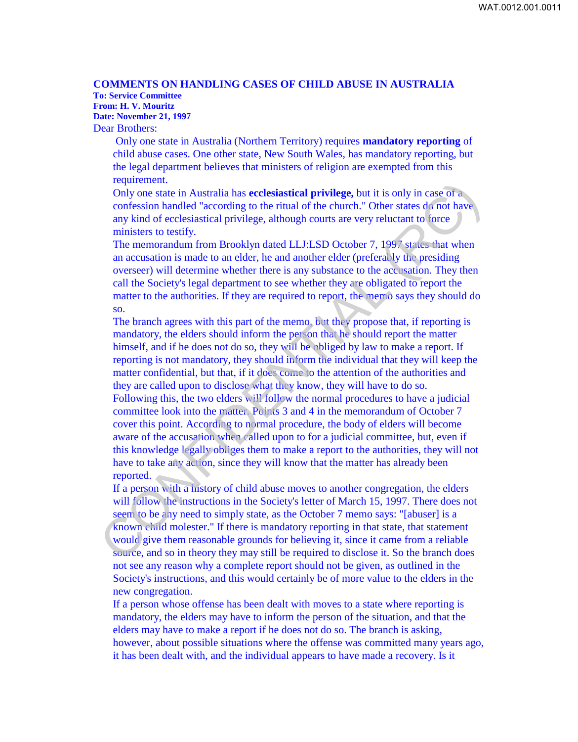## **COMMENTS ON HANDLING CASES OF CHILD ABUSE IN AUSTRALIA To: Service Committee**

**From: H. V. Mouritz Date: November 21, 1997**

Dear Brothers:

Only one state in Australia (Northern Territory) requires **mandatory reporting** of child abuse cases. One other state, New South Wales, has mandatory reporting, but the legal department believes that ministers of religion are exempted from this requirement.

Only one state in Australia has **ecclesiastical privilege,** but it is only in case of a confession handled "according to the ritual of the church." Other states do not have any kind of ecclesiastical privilege, although courts are very reluctant to force ministers to testify.

The memorandum from Brooklyn dated LLJ:LSD October 7, 1997 states that when an accusation is made to an elder, he and another elder (preferably the presiding overseer) will determine whether there is any substance to the accusation. They then call the Society's legal department to see whether they are obligated to report the matter to the authorities. If they are required to report, the memo says they should do so.

The branch agrees with this part of the memo, but they propose that, if reporting is mandatory, the elders should inform the person that he should report the matter himself, and if he does not do so, they will be obliged by law to make a report. If reporting is not mandatory, they should inform the individual that they will keep the matter confidential, but that, if it does come to the attention of the authorities and they are called upon to disclose what they know, they will have to do so. Following this, the two elders will follow the normal procedures to have a judicial committee look into the matter. Points 3 and 4 in the memorandum of October 7 cover this point. According to normal procedure, the body of elders will become aware of the accusation when called upon to for a judicial committee, but, even if this knowledge legally obliges them to make a report to the authorities, they will not have to take any action, since they will know that the matter has already been reported. requirement.<br>
For the in Australia has ecclesiastical privilege, but it is only in case of a<br>
confession handled "according to the ritual of the church." Other states do not have<br>
any kivid of ecclesiastical privilege, alt

If a person with a history of child abuse moves to another congregation, the elders will follow the instructions in the Society's letter of March 15, 1997. There does not seem to be any need to simply state, as the October 7 memo says: "[abuser] is a known child molester." If there is mandatory reporting in that state, that statement would give them reasonable grounds for believing it, since it came from a reliable source, and so in theory they may still be required to disclose it. So the branch does not see any reason why a complete report should not be given, as outlined in the Society's instructions, and this would certainly be of more value to the elders in the new congregation.

If a person whose offense has been dealt with moves to a state where reporting is mandatory, the elders may have to inform the person of the situation, and that the elders may have to make a report if he does not do so. The branch is asking, however, about possible situations where the offense was committed many years ago, it has been dealt with, and the individual appears to have made a recovery. Is it